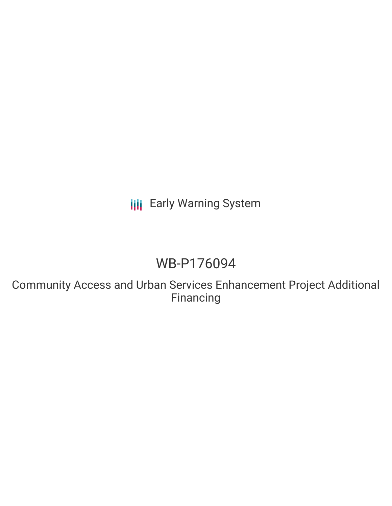**III** Early Warning System

# WB-P176094

Community Access and Urban Services Enhancement Project Additional Financing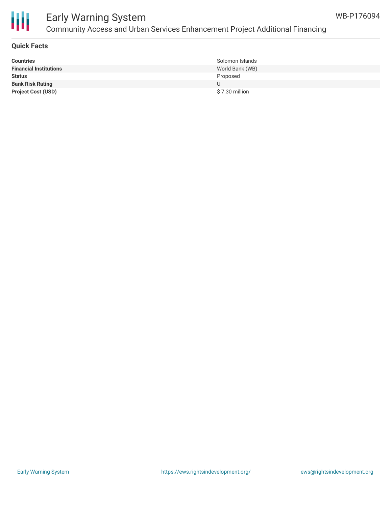

## Early Warning System Community Access and Urban Services Enhancement Project Additional Financing

#### **Quick Facts**

| <b>Countries</b>              | Solomon Islands |
|-------------------------------|-----------------|
| <b>Financial Institutions</b> | World Bank (WB) |
| <b>Status</b>                 | Proposed        |
| <b>Bank Risk Rating</b>       |                 |
| <b>Project Cost (USD)</b>     | \$7.30 million  |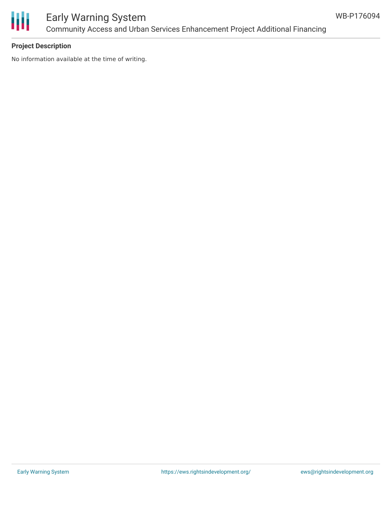

# Early Warning System Community Access and Urban Services Enhancement Project Additional Financing

## **Project Description**

No information available at the time of writing.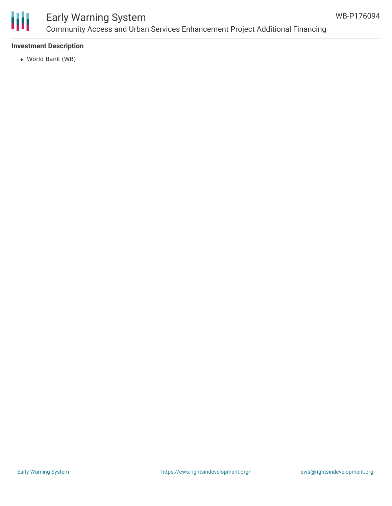

# Early Warning System Community Access and Urban Services Enhancement Project Additional Financing

#### **Investment Description**

World Bank (WB)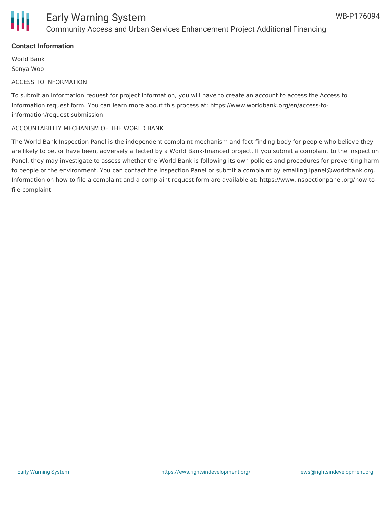

## **Contact Information**

World Bank Sonya Woo

### ACCESS TO INFORMATION

To submit an information request for project information, you will have to create an account to access the Access to Information request form. You can learn more about this process at: https://www.worldbank.org/en/access-toinformation/request-submission

### ACCOUNTABILITY MECHANISM OF THE WORLD BANK

The World Bank Inspection Panel is the independent complaint mechanism and fact-finding body for people who believe they are likely to be, or have been, adversely affected by a World Bank-financed project. If you submit a complaint to the Inspection Panel, they may investigate to assess whether the World Bank is following its own policies and procedures for preventing harm to people or the environment. You can contact the Inspection Panel or submit a complaint by emailing ipanel@worldbank.org. Information on how to file a complaint and a complaint request form are available at: https://www.inspectionpanel.org/how-tofile-complaint